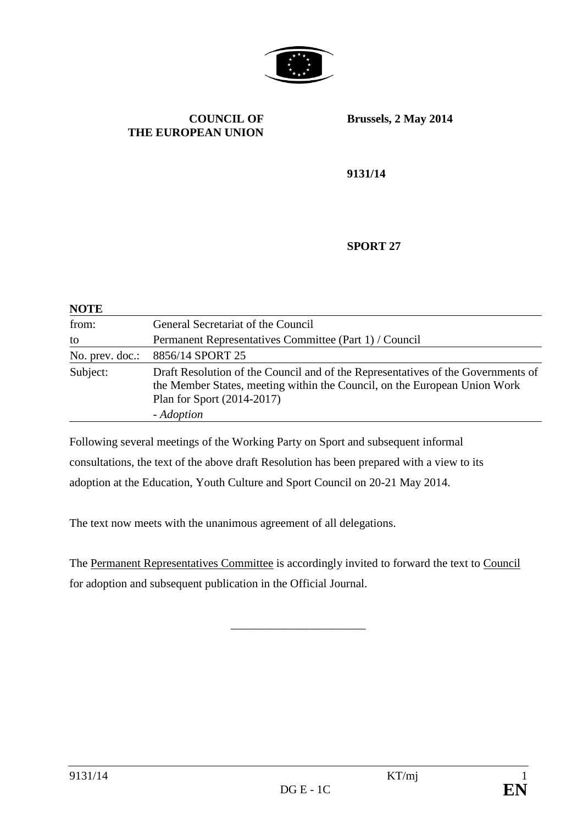

#### **COUNCIL OF THE EUROPEAN UNION**

**Brussels, 2 May 2014**

**9131/14**

#### **SPORT 27**

| <b>NOTE</b>     |                                                                                                                                                                                                           |
|-----------------|-----------------------------------------------------------------------------------------------------------------------------------------------------------------------------------------------------------|
| from:           | General Secretariat of the Council                                                                                                                                                                        |
| to              | Permanent Representatives Committee (Part 1) / Council                                                                                                                                                    |
| No. prev. doc.: | 8856/14 SPORT 25                                                                                                                                                                                          |
| Subject:        | Draft Resolution of the Council and of the Representatives of the Governments of<br>the Member States, meeting within the Council, on the European Union Work<br>Plan for Sport (2014-2017)<br>- Adoption |

Following several meetings of the Working Party on Sport and subsequent informal consultations, the text of the above draft Resolution has been prepared with a view to its adoption at the Education, Youth Culture and Sport Council on 20-21 May 2014.

The text now meets with the unanimous agreement of all delegations.

The Permanent Representatives Committee is accordingly invited to forward the text to Council for adoption and subsequent publication in the Official Journal.

\_\_\_\_\_\_\_\_\_\_\_\_\_\_\_\_\_\_\_\_\_\_\_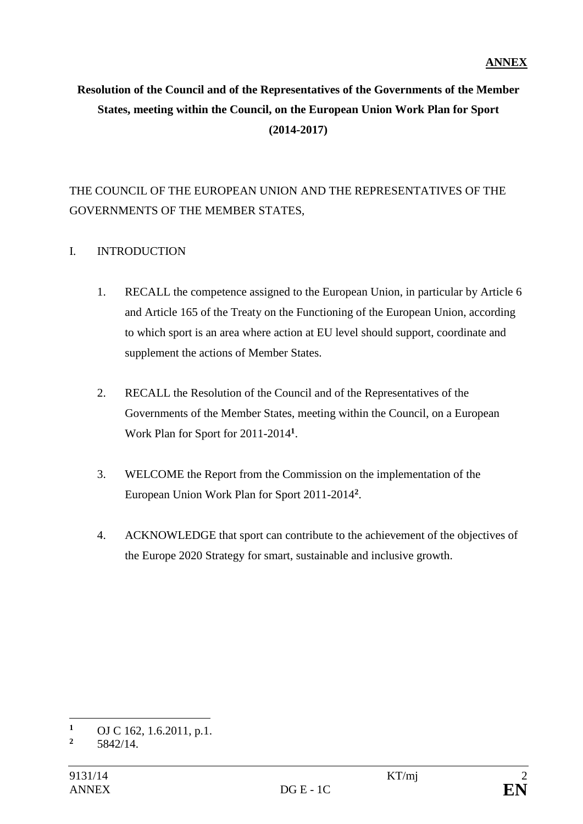# **Resolution of the Council and of the Representatives of the Governments of the Member States, meeting within the Council, on the European Union Work Plan for Sport (2014-2017)**

# THE COUNCIL OF THE EUROPEAN UNION AND THE REPRESENTATIVES OF THE GOVERNMENTS OF THE MEMBER STATES,

### I. INTRODUCTION

- 1. RECALL the competence assigned to the European Union, in particular by Article 6 and Article 165 of the Treaty on the Functioning of the European Union, according to which sport is an area where action at EU level should support, coordinate and supplement the actions of Member States.
- 2. RECALL the Resolution of the Council and of the Representatives of the Governments of the Member States, meeting within the Council, on a European Work Plan for Sport for 2011-2014**<sup>1</sup>** .
- 3. WELCOME the Report from the Commission on the implementation of the European Union Work Plan for Sport 2011-2014**<sup>2</sup>** .
- 4. ACKNOWLEDGE that sport can contribute to the achievement of the objectives of the Europe 2020 Strategy for smart, sustainable and inclusive growth.

 $\overline{a}$ 

**<sup>1</sup>** OJ C 162, 1.6.2011, p.1.<br>**2**  $5842/14$ 

**<sup>2</sup>** 5842/14.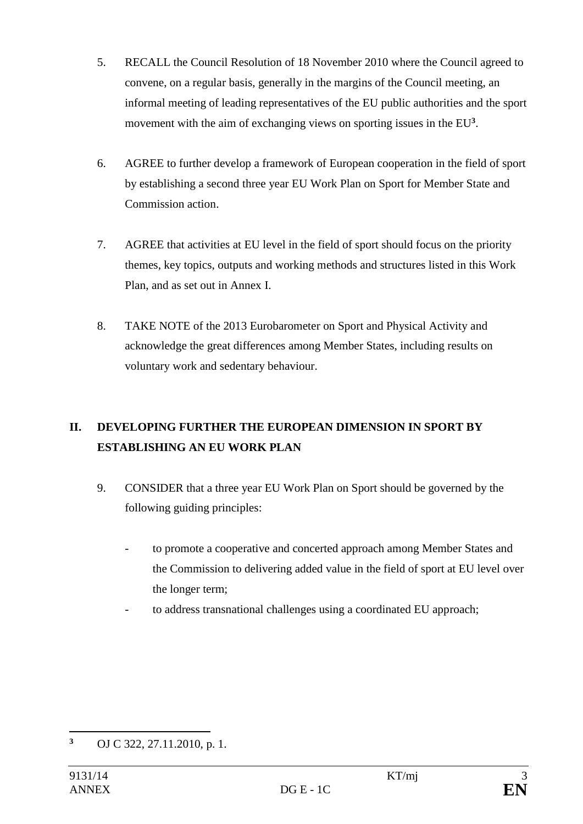- 5. RECALL the Council Resolution of 18 November 2010 where the Council agreed to convene, on a regular basis, generally in the margins of the Council meeting, an informal meeting of leading representatives of the EU public authorities and the sport movement with the aim of exchanging views on sporting issues in the EU**<sup>3</sup>** .
- 6. AGREE to further develop a framework of European cooperation in the field of sport by establishing a second three year EU Work Plan on Sport for Member State and Commission action.
- 7. AGREE that activities at EU level in the field of sport should focus on the priority themes, key topics, outputs and working methods and structures listed in this Work Plan, and as set out in Annex I.
- 8. TAKE NOTE of the 2013 Eurobarometer on Sport and Physical Activity and acknowledge the great differences among Member States, including results on voluntary work and sedentary behaviour.

# **II. DEVELOPING FURTHER THE EUROPEAN DIMENSION IN SPORT BY ESTABLISHING AN EU WORK PLAN**

- 9. CONSIDER that a three year EU Work Plan on Sport should be governed by the following guiding principles:
	- to promote a cooperative and concerted approach among Member States and the Commission to delivering added value in the field of sport at EU level over the longer term;
	- to address transnational challenges using a coordinated EU approach;

 $\overline{a}$ **<sup>3</sup>** OJ C 322, 27.11.2010, p. 1.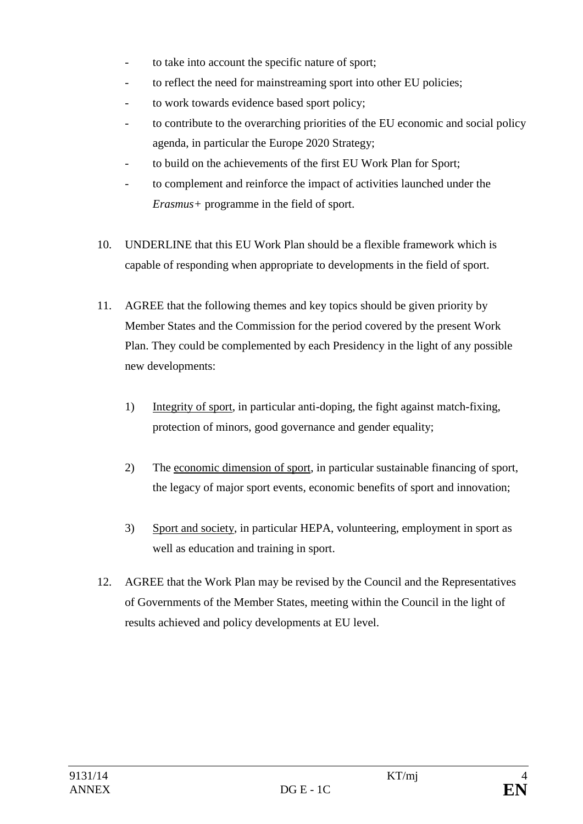- to take into account the specific nature of sport;
- to reflect the need for mainstreaming sport into other EU policies;
- to work towards evidence based sport policy;
- to contribute to the overarching priorities of the EU economic and social policy agenda, in particular the Europe 2020 Strategy;
- to build on the achievements of the first EU Work Plan for Sport;
- to complement and reinforce the impact of activities launched under the *Erasmus+* programme in the field of sport.
- 10. UNDERLINE that this EU Work Plan should be a flexible framework which is capable of responding when appropriate to developments in the field of sport.
- 11. AGREE that the following themes and key topics should be given priority by Member States and the Commission for the period covered by the present Work Plan. They could be complemented by each Presidency in the light of any possible new developments:
	- 1) Integrity of sport, in particular anti-doping, the fight against match-fixing, protection of minors, good governance and gender equality;
	- 2) The economic dimension of sport, in particular sustainable financing of sport, the legacy of major sport events, economic benefits of sport and innovation;
	- 3) Sport and society, in particular HEPA, volunteering, employment in sport as well as education and training in sport.
- 12. AGREE that the Work Plan may be revised by the Council and the Representatives of Governments of the Member States, meeting within the Council in the light of results achieved and policy developments at EU level.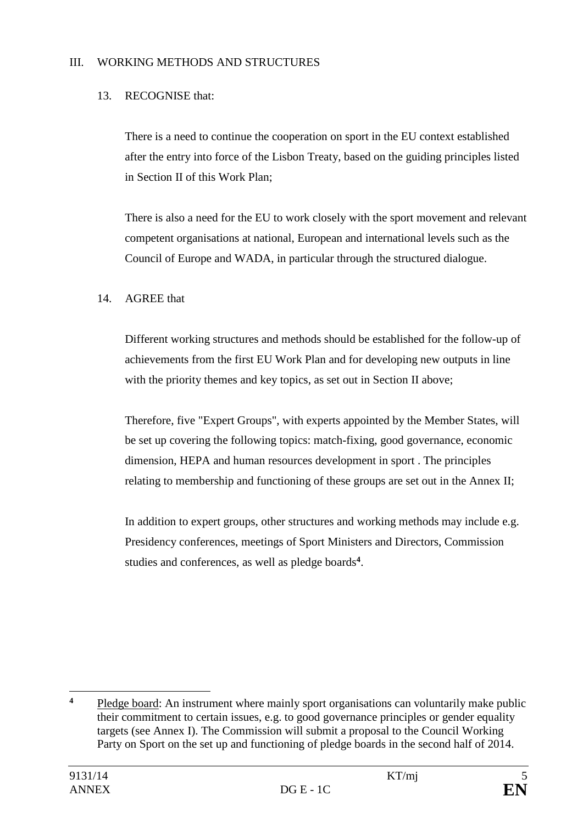### III. WORKING METHODS AND STRUCTURES

### 13. RECOGNISE that:

There is a need to continue the cooperation on sport in the EU context established after the entry into force of the Lisbon Treaty, based on the guiding principles listed in Section II of this Work Plan;

There is also a need for the EU to work closely with the sport movement and relevant competent organisations at national, European and international levels such as the Council of Europe and WADA, in particular through the structured dialogue.

#### 14. AGREE that

Different working structures and methods should be established for the follow-up of achievements from the first EU Work Plan and for developing new outputs in line with the priority themes and key topics, as set out in Section II above;

Therefore, five "Expert Groups", with experts appointed by the Member States, will be set up covering the following topics: match-fixing, good governance, economic dimension, HEPA and human resources development in sport . The principles relating to membership and functioning of these groups are set out in the Annex II;

In addition to expert groups, other structures and working methods may include e.g. Presidency conferences, meetings of Sport Ministers and Directors, Commission studies and conferences, as well as pledge boards**<sup>4</sup>** .

 $\overline{\mathbf{4}}$ **<sup>4</sup>** Pledge board: An instrument where mainly sport organisations can voluntarily make public their commitment to certain issues, e.g. to good governance principles or gender equality targets (see Annex I). The Commission will submit a proposal to the Council Working Party on Sport on the set up and functioning of pledge boards in the second half of 2014.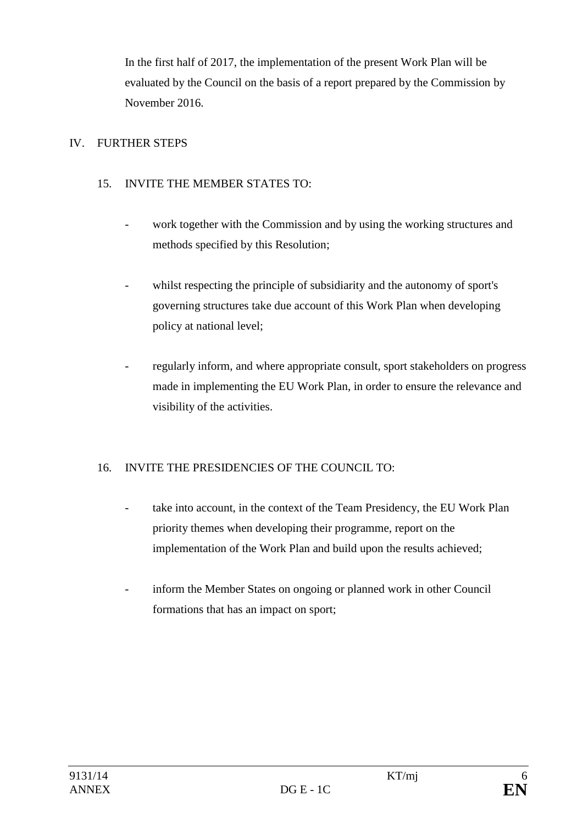In the first half of 2017, the implementation of the present Work Plan will be evaluated by the Council on the basis of a report prepared by the Commission by November 2016.

## IV. FURTHER STEPS

## 15. INVITE THE MEMBER STATES TO:

- work together with the Commission and by using the working structures and methods specified by this Resolution;
- whilst respecting the principle of subsidiarity and the autonomy of sport's governing structures take due account of this Work Plan when developing policy at national level;
- regularly inform, and where appropriate consult, sport stakeholders on progress made in implementing the EU Work Plan, in order to ensure the relevance and visibility of the activities.

# 16. INVITE THE PRESIDENCIES OF THE COUNCIL TO:

- take into account, in the context of the Team Presidency, the EU Work Plan priority themes when developing their programme, report on the implementation of the Work Plan and build upon the results achieved;
- inform the Member States on ongoing or planned work in other Council formations that has an impact on sport;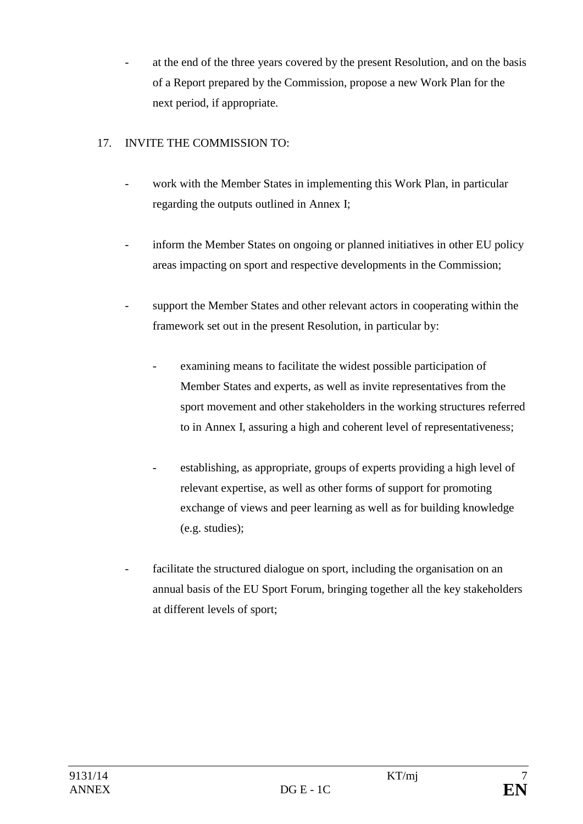at the end of the three years covered by the present Resolution, and on the basis of a Report prepared by the Commission, propose a new Work Plan for the next period, if appropriate.

## 17. INVITE THE COMMISSION TO:

- work with the Member States in implementing this Work Plan, in particular regarding the outputs outlined in Annex I;
- inform the Member States on ongoing or planned initiatives in other EU policy areas impacting on sport and respective developments in the Commission;
- support the Member States and other relevant actors in cooperating within the framework set out in the present Resolution, in particular by:
	- examining means to facilitate the widest possible participation of Member States and experts, as well as invite representatives from the sport movement and other stakeholders in the working structures referred to in Annex I, assuring a high and coherent level of representativeness;
	- establishing, as appropriate, groups of experts providing a high level of relevant expertise, as well as other forms of support for promoting exchange of views and peer learning as well as for building knowledge (e.g. studies);
- facilitate the structured dialogue on sport, including the organisation on an annual basis of the EU Sport Forum, bringing together all the key stakeholders at different levels of sport;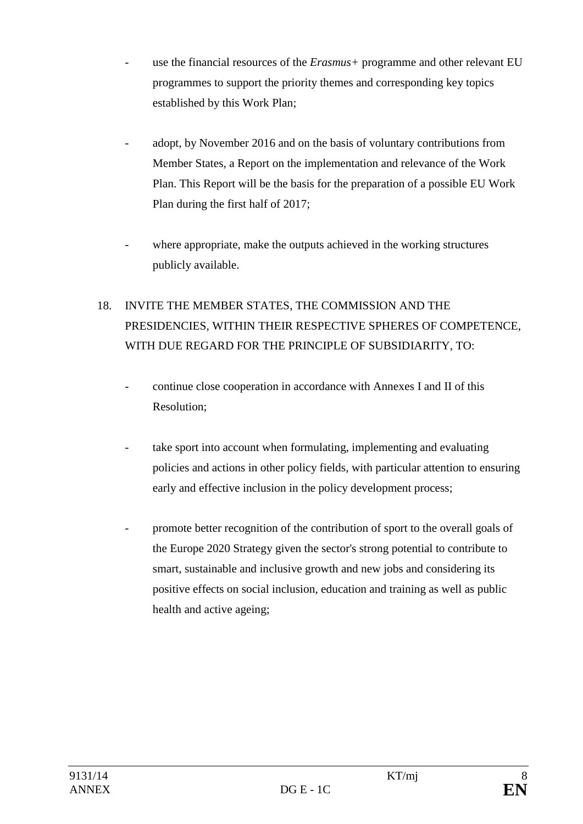- use the financial resources of the *Erasmus*+ programme and other relevant EU programmes to support the priority themes and corresponding key topics established by this Work Plan;
- adopt, by November 2016 and on the basis of voluntary contributions from Member States, a Report on the implementation and relevance of the Work Plan. This Report will be the basis for the preparation of a possible EU Work Plan during the first half of 2017;
- where appropriate, make the outputs achieved in the working structures publicly available.

# 18. INVITE THE MEMBER STATES, THE COMMISSION AND THE PRESIDENCIES, WITHIN THEIR RESPECTIVE SPHERES OF COMPETENCE, WITH DUE REGARD FOR THE PRINCIPLE OF SUBSIDIARITY, TO:

- continue close cooperation in accordance with Annexes I and II of this Resolution;
- take sport into account when formulating, implementing and evaluating policies and actions in other policy fields, with particular attention to ensuring early and effective inclusion in the policy development process;
- promote better recognition of the contribution of sport to the overall goals of the Europe 2020 Strategy given the sector's strong potential to contribute to smart, sustainable and inclusive growth and new jobs and considering its positive effects on social inclusion, education and training as well as public health and active ageing;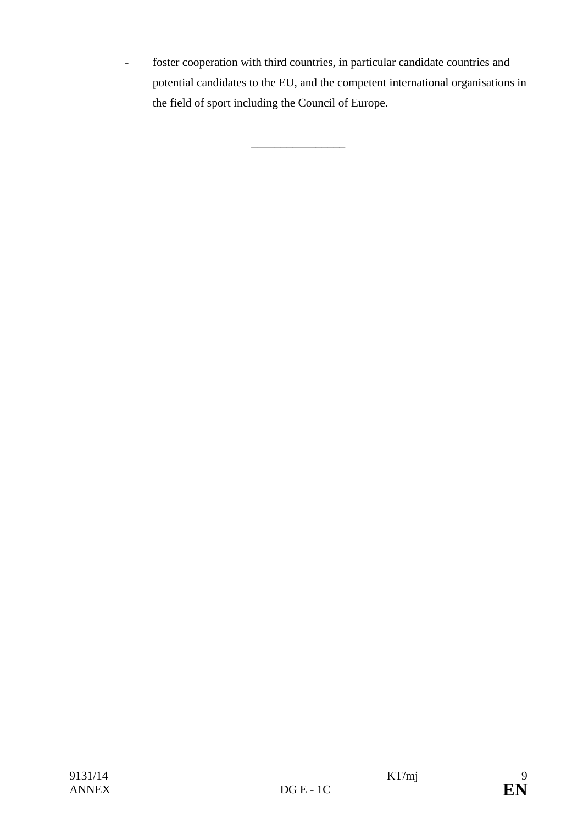- foster cooperation with third countries, in particular candidate countries and potential candidates to the EU, and the competent international organisations in the field of sport including the Council of Europe.

\_\_\_\_\_\_\_\_\_\_\_\_\_\_\_\_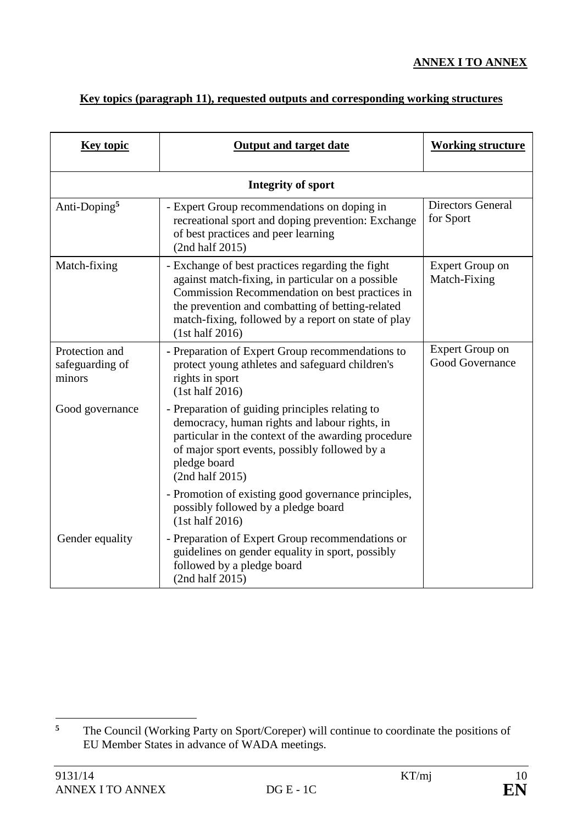## **ANNEX I TO ANNEX**

# **Key topics (paragraph 11), requested outputs and corresponding working structures**

| <b>Key topic</b>                            | <b>Output and target date</b>                                                                                                                                                                                                                                                         | <b>Working structure</b>                  |  |  |  |
|---------------------------------------------|---------------------------------------------------------------------------------------------------------------------------------------------------------------------------------------------------------------------------------------------------------------------------------------|-------------------------------------------|--|--|--|
| Integrity of sport                          |                                                                                                                                                                                                                                                                                       |                                           |  |  |  |
| Anti-Doping <sup>5</sup>                    | - Expert Group recommendations on doping in<br>recreational sport and doping prevention: Exchange<br>of best practices and peer learning<br>(2nd half 2015)                                                                                                                           | <b>Directors General</b><br>for Sport     |  |  |  |
| Match-fixing                                | - Exchange of best practices regarding the fight<br>against match-fixing, in particular on a possible<br>Commission Recommendation on best practices in<br>the prevention and combatting of betting-related<br>match-fixing, followed by a report on state of play<br>(1st half 2016) | <b>Expert Group on</b><br>Match-Fixing    |  |  |  |
| Protection and<br>safeguarding of<br>minors | - Preparation of Expert Group recommendations to<br>protect young athletes and safeguard children's<br>rights in sport<br>(1st half 2016)                                                                                                                                             | <b>Expert Group on</b><br>Good Governance |  |  |  |
| Good governance                             | - Preparation of guiding principles relating to<br>democracy, human rights and labour rights, in<br>particular in the context of the awarding procedure<br>of major sport events, possibly followed by a<br>pledge board<br>(2nd half 2015)                                           |                                           |  |  |  |
|                                             | - Promotion of existing good governance principles,<br>possibly followed by a pledge board<br>(1st half 2016)                                                                                                                                                                         |                                           |  |  |  |
| Gender equality                             | - Preparation of Expert Group recommendations or<br>guidelines on gender equality in sport, possibly<br>followed by a pledge board<br>(2nd half 2015)                                                                                                                                 |                                           |  |  |  |

 $\overline{5}$ **<sup>5</sup>** The Council (Working Party on Sport/Coreper) will continue to coordinate the positions of EU Member States in advance of WADA meetings.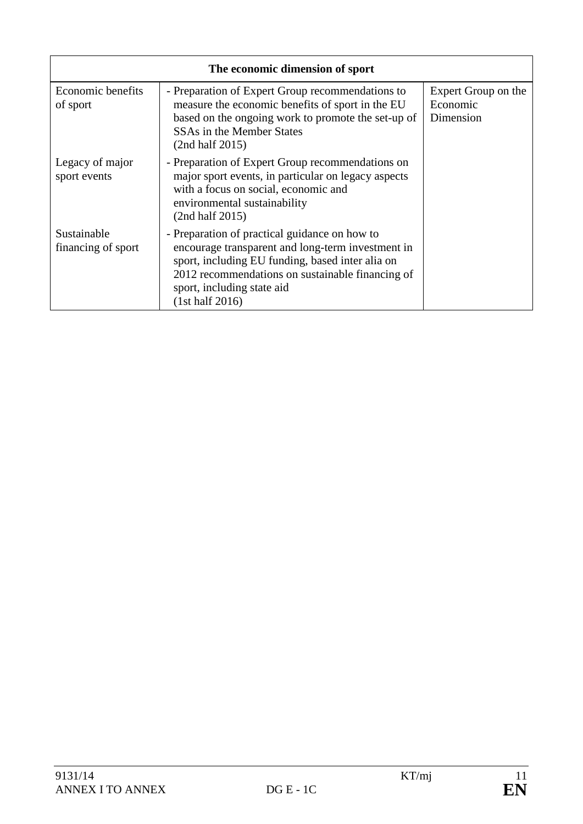| The economic dimension of sport   |                                                                                                                                                                                                                                                             |                                              |  |  |  |
|-----------------------------------|-------------------------------------------------------------------------------------------------------------------------------------------------------------------------------------------------------------------------------------------------------------|----------------------------------------------|--|--|--|
| Economic benefits<br>of sport     | - Preparation of Expert Group recommendations to<br>measure the economic benefits of sport in the EU<br>based on the ongoing work to promote the set-up of<br>SSAs in the Member States<br>(2nd half 2015)                                                  | Expert Group on the<br>Economic<br>Dimension |  |  |  |
| Legacy of major<br>sport events   | - Preparation of Expert Group recommendations on<br>major sport events, in particular on legacy aspects<br>with a focus on social, economic and<br>environmental sustainability<br>(2nd half 2015)                                                          |                                              |  |  |  |
| Sustainable<br>financing of sport | - Preparation of practical guidance on how to<br>encourage transparent and long-term investment in<br>sport, including EU funding, based inter alia on<br>2012 recommendations on sustainable financing of<br>sport, including state aid<br>(1st half 2016) |                                              |  |  |  |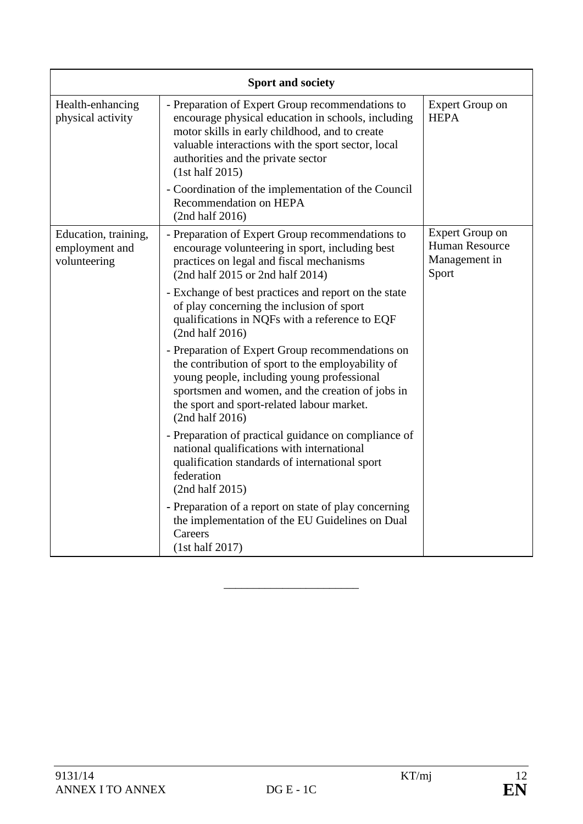| <b>Sport and society</b>                               |                                                                                                                                                                                                                                                                          |                                                                           |  |  |  |
|--------------------------------------------------------|--------------------------------------------------------------------------------------------------------------------------------------------------------------------------------------------------------------------------------------------------------------------------|---------------------------------------------------------------------------|--|--|--|
| Health-enhancing<br>physical activity                  | - Preparation of Expert Group recommendations to<br>encourage physical education in schools, including<br>motor skills in early childhood, and to create<br>valuable interactions with the sport sector, local<br>authorities and the private sector<br>(1st half 2015)  | <b>Expert Group on</b><br><b>HEPA</b>                                     |  |  |  |
|                                                        | - Coordination of the implementation of the Council<br>Recommendation on HEPA<br>(2nd half 2016)                                                                                                                                                                         |                                                                           |  |  |  |
| Education, training,<br>employment and<br>volunteering | - Preparation of Expert Group recommendations to<br>encourage volunteering in sport, including best<br>practices on legal and fiscal mechanisms<br>(2nd half 2015 or 2nd half 2014)                                                                                      | <b>Expert Group on</b><br><b>Human Resource</b><br>Management in<br>Sport |  |  |  |
|                                                        | - Exchange of best practices and report on the state<br>of play concerning the inclusion of sport<br>qualifications in NQFs with a reference to EQF<br>(2nd half 2016)                                                                                                   |                                                                           |  |  |  |
|                                                        | - Preparation of Expert Group recommendations on<br>the contribution of sport to the employability of<br>young people, including young professional<br>sportsmen and women, and the creation of jobs in<br>the sport and sport-related labour market.<br>(2nd half 2016) |                                                                           |  |  |  |
|                                                        | - Preparation of practical guidance on compliance of<br>national qualifications with international<br>qualification standards of international sport<br>federation<br>(2nd half 2015)                                                                                    |                                                                           |  |  |  |
|                                                        | - Preparation of a report on state of play concerning<br>the implementation of the EU Guidelines on Dual<br>Careers<br>(1st half 2017)                                                                                                                                   |                                                                           |  |  |  |

\_\_\_\_\_\_\_\_\_\_\_\_\_\_\_\_\_\_\_\_\_\_\_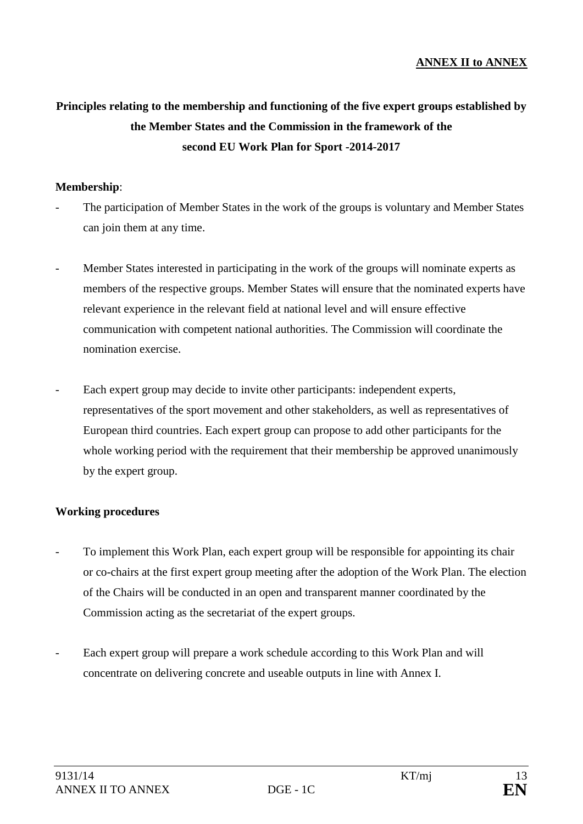#### **ANNEX II to ANNEX**

# **Principles relating to the membership and functioning of the five expert groups established by the Member States and the Commission in the framework of the second EU Work Plan for Sport -2014-2017**

#### **Membership**:

- The participation of Member States in the work of the groups is voluntary and Member States can join them at any time.
- Member States interested in participating in the work of the groups will nominate experts as members of the respective groups. Member States will ensure that the nominated experts have relevant experience in the relevant field at national level and will ensure effective communication with competent national authorities. The Commission will coordinate the nomination exercise.
- Each expert group may decide to invite other participants: independent experts, representatives of the sport movement and other stakeholders, as well as representatives of European third countries. Each expert group can propose to add other participants for the whole working period with the requirement that their membership be approved unanimously by the expert group.

#### **Working procedures**

- To implement this Work Plan, each expert group will be responsible for appointing its chair or co-chairs at the first expert group meeting after the adoption of the Work Plan. The election of the Chairs will be conducted in an open and transparent manner coordinated by the Commission acting as the secretariat of the expert groups.
- Each expert group will prepare a work schedule according to this Work Plan and will concentrate on delivering concrete and useable outputs in line with Annex I.